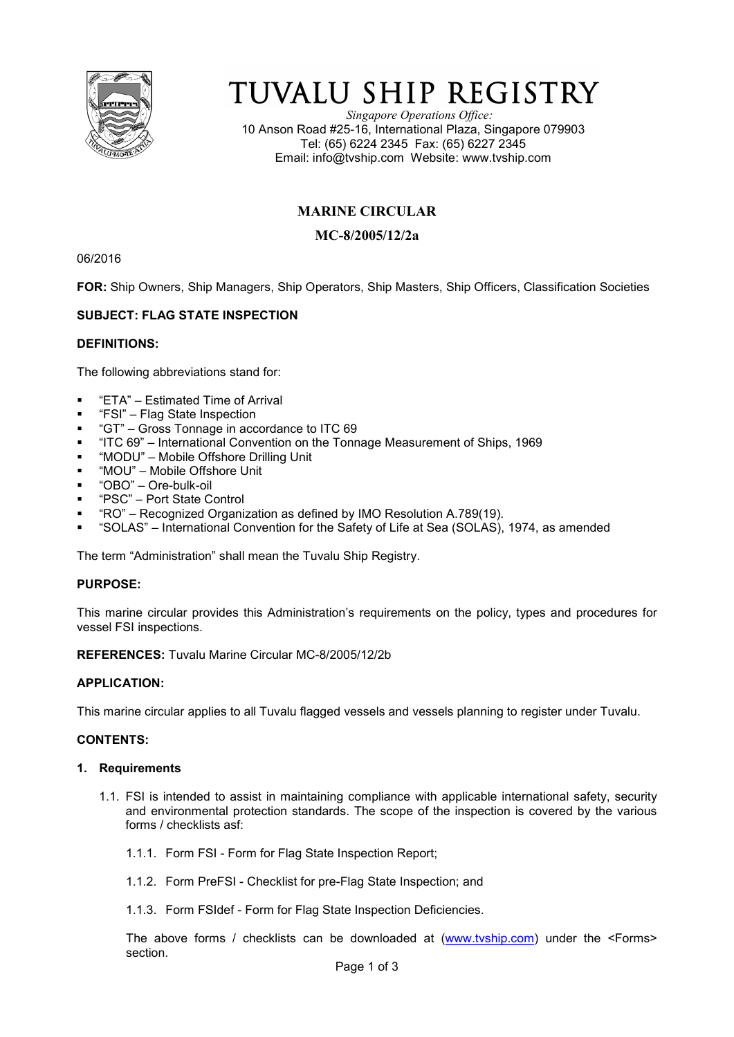

# TUVALU SHIP REGISTRY

*Singapore Operations Office:* 10 Anson Road #25-16, International Plaza, Singapore 079903 Tel: (65) 6224 2345 Fax: (65) 6227 2345 Email: info@tvship.com Website: www.tvship.com

## **MARINE CIRCULAR**

## **MC-8/2005/12/2a**

06/2016

**FOR:** Ship Owners, Ship Managers, Ship Operators, Ship Masters, Ship Officers, Classification Societies

## **SUBJECT: FLAG STATE INSPECTION**

#### **DEFINITIONS:**

The following abbreviations stand for:

- "ETA" Estimated Time of Arrival
- "FSI" Flag State Inspection
- "GT" Gross Tonnage in accordance to ITC 69
- "ITC 69" International Convention on the Tonnage Measurement of Ships, 1969
- "MODU" Mobile Offshore Drilling Unit
- "MOU" Mobile Offshore Unit
- "OBO" Ore-bulk-oil
- "PSC" Port State Control
- "RO" Recognized Organization as defined by IMO Resolution A.789(19).
- "SOLAS" International Convention for the Safety of Life at Sea (SOLAS), 1974, as amended

The term "Administration" shall mean the Tuvalu Ship Registry.

## **PURPOSE:**

This marine circular provides this Administration's requirements on the policy, types and procedures for vessel FSI inspections.

**REFERENCES:** Tuvalu Marine Circular MC-8/2005/12/2b

## **APPLICATION:**

This marine circular applies to all Tuvalu flagged vessels and vessels planning to register under Tuvalu.

#### **CONTENTS:**

#### **1. Requirements**

- 1.1. FSI is intended to assist in maintaining compliance with applicable international safety, security and environmental protection standards. The scope of the inspection is covered by the various forms / checklists asf:
	- 1.1.1. Form FSI Form for Flag State Inspection Report;
	- 1.1.2. Form PreFSI Checklist for pre-Flag State Inspection; and
	- 1.1.3. Form FSIdef Form for Flag State Inspection Deficiencies.

The above forms / checklists can be downloaded at (www.tvship.com) under the <Forms> section.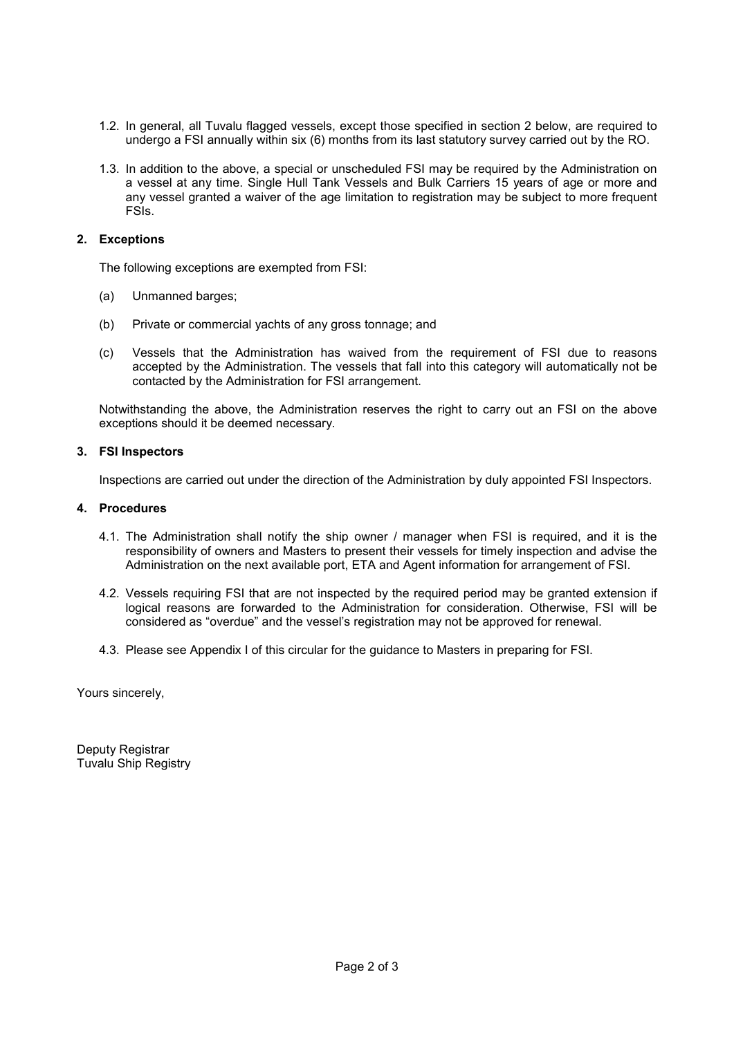- 1.2. In general, all Tuvalu flagged vessels, except those specified in section 2 below, are required to undergo a FSI annually within six (6) months from its last statutory survey carried out by the RO.
- 1.3. In addition to the above, a special or unscheduled FSI may be required by the Administration on a vessel at any time. Single Hull Tank Vessels and Bulk Carriers 15 years of age or more and any vessel granted a waiver of the age limitation to registration may be subject to more frequent FSIs.

## **2. Exceptions**

The following exceptions are exempted from FSI:

- (a) Unmanned barges;
- (b) Private or commercial yachts of any gross tonnage; and
- (c) Vessels that the Administration has waived from the requirement of FSI due to reasons accepted by the Administration. The vessels that fall into this category will automatically not be contacted by the Administration for FSI arrangement.

Notwithstanding the above, the Administration reserves the right to carry out an FSI on the above exceptions should it be deemed necessary.

## **3. FSI Inspectors**

Inspections are carried out under the direction of the Administration by duly appointed FSI Inspectors.

#### **4. Procedures**

- 4.1. The Administration shall notify the ship owner / manager when FSI is required, and it is the responsibility of owners and Masters to present their vessels for timely inspection and advise the Administration on the next available port, ETA and Agent information for arrangement of FSI.
- 4.2. Vessels requiring FSI that are not inspected by the required period may be granted extension if logical reasons are forwarded to the Administration for consideration. Otherwise, FSI will be considered as "overdue" and the vessel's registration may not be approved for renewal.
- 4.3. Please see Appendix I of this circular for the guidance to Masters in preparing for FSI.

Yours sincerely,

Deputy Registrar Tuvalu Ship Registry